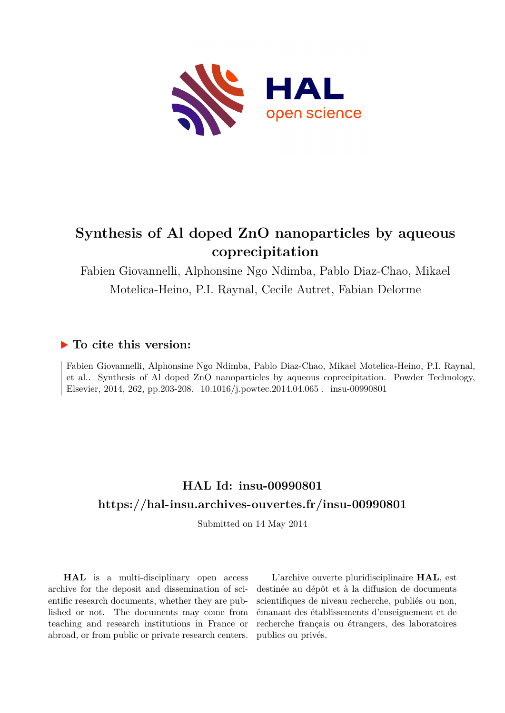

# **Synthesis of Al doped ZnO nanoparticles by aqueous coprecipitation**

Fabien Giovannelli, Alphonsine Ngo Ndimba, Pablo Diaz-Chao, Mikael Motelica-Heino, P.I. Raynal, Cecile Autret, Fabian Delorme

### **To cite this version:**

Fabien Giovannelli, Alphonsine Ngo Ndimba, Pablo Diaz-Chao, Mikael Motelica-Heino, P.I. Raynal, et al.. Synthesis of Al doped ZnO nanoparticles by aqueous coprecipitation. Powder Technology, Elsevier, 2014, 262, pp.203-208.  $10.1016/j.powtec.2014.04.065$ . insu-00990801

## **HAL Id: insu-00990801 <https://hal-insu.archives-ouvertes.fr/insu-00990801>**

Submitted on 14 May 2014

**HAL** is a multi-disciplinary open access archive for the deposit and dissemination of scientific research documents, whether they are published or not. The documents may come from teaching and research institutions in France or abroad, or from public or private research centers.

L'archive ouverte pluridisciplinaire **HAL**, est destinée au dépôt et à la diffusion de documents scientifiques de niveau recherche, publiés ou non, émanant des établissements d'enseignement et de recherche français ou étrangers, des laboratoires publics ou privés.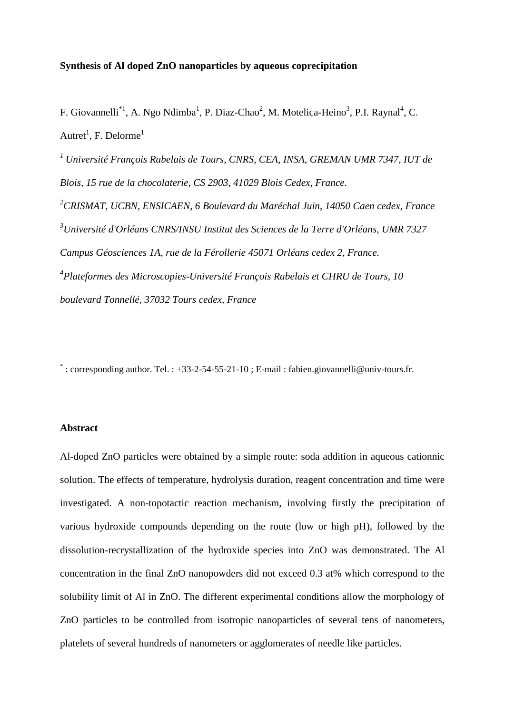#### **Synthesis of Al doped ZnO nanoparticles by aqueous coprecipitation**

F. Giovannelli<sup>\*1</sup>, A. Ngo Ndimba<sup>1</sup>, P. Diaz-Chao<sup>2</sup>, M. Motelica-Heino<sup>3</sup>, P.I. Raynal<sup>4</sup>, C. Autret<sup>1</sup>, F. Delorme<sup>1</sup>

*<sup>1</sup> Université François Rabelais de Tours, CNRS, CEA, INSA, GREMAN UMR 7347, IUT de Blois, 15 rue de la chocolaterie, CS 2903, 41029 Blois Cedex, France.* 

*<sup>2</sup>CRISMAT, UCBN, ENSICAEN, 6 Boulevard du Maréchal Juin, 14050 Caen cedex, France <sup>3</sup>Université d'Orléans CNRS/INSU Institut des Sciences de la Terre d'Orléans, UMR 7327 Campus Géosciences 1A, rue de la Férollerie 45071 Orléans cedex 2, France. 4 Plateformes des Microscopies-Université François Rabelais et CHRU de Tours, 10 boulevard Tonnellé, 37032 Tours cedex, France* 

\* : corresponding author. Tel. : +33-2-54-55-21-10 ; E-mail : fabien.giovannelli@univ-tours.fr.

#### **Abstract**

Al-doped ZnO particles were obtained by a simple route: soda addition in aqueous cationnic solution. The effects of temperature, hydrolysis duration, reagent concentration and time were investigated. A non-topotactic reaction mechanism, involving firstly the precipitation of various hydroxide compounds depending on the route (low or high pH), followed by the dissolution-recrystallization of the hydroxide species into ZnO was demonstrated. The Al concentration in the final ZnO nanopowders did not exceed 0.3 at% which correspond to the solubility limit of Al in ZnO. The different experimental conditions allow the morphology of ZnO particles to be controlled from isotropic nanoparticles of several tens of nanometers, platelets of several hundreds of nanometers or agglomerates of needle like particles.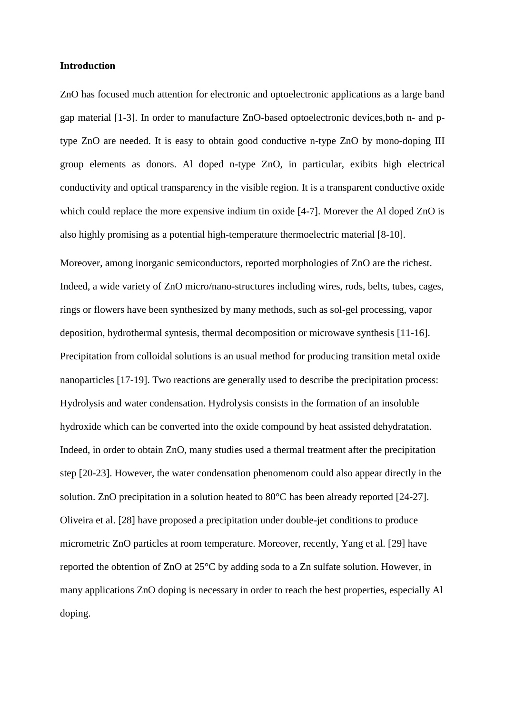#### **Introduction**

ZnO has focused much attention for electronic and optoelectronic applications as a large band gap material [1-3]. In order to manufacture ZnO-based optoelectronic devices,both n- and ptype ZnO are needed. It is easy to obtain good conductive n-type ZnO by mono-doping III group elements as donors. Al doped n-type ZnO, in particular, exibits high electrical conductivity and optical transparency in the visible region. It is a transparent conductive oxide which could replace the more expensive indium tin oxide [4-7]. Morever the Al doped ZnO is also highly promising as a potential high-temperature thermoelectric material [8-10].

Moreover, among inorganic semiconductors, reported morphologies of ZnO are the richest. Indeed, a wide variety of ZnO micro/nano-structures including wires, rods, belts, tubes, cages, rings or flowers have been synthesized by many methods, such as sol-gel processing, vapor deposition, hydrothermal syntesis, thermal decomposition or microwave synthesis [11-16]. Precipitation from colloidal solutions is an usual method for producing transition metal oxide nanoparticles [17-19]. Two reactions are generally used to describe the precipitation process: Hydrolysis and water condensation. Hydrolysis consists in the formation of an insoluble hydroxide which can be converted into the oxide compound by heat assisted dehydratation. Indeed, in order to obtain ZnO, many studies used a thermal treatment after the precipitation step [20-23]. However, the water condensation phenomenom could also appear directly in the solution. ZnO precipitation in a solution heated to 80°C has been already reported [24-27]. Oliveira et al. [28] have proposed a precipitation under double-jet conditions to produce micrometric ZnO particles at room temperature. Moreover, recently, Yang et al. [29] have reported the obtention of ZnO at 25°C by adding soda to a Zn sulfate solution. However, in many applications ZnO doping is necessary in order to reach the best properties, especially Al doping.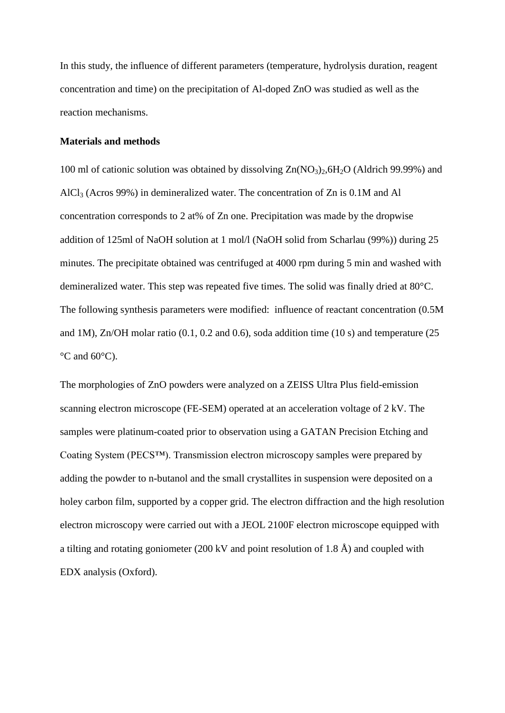In this study, the influence of different parameters (temperature, hydrolysis duration, reagent concentration and time) on the precipitation of Al-doped ZnO was studied as well as the reaction mechanisms.

#### **Materials and methods**

100 ml of cationic solution was obtained by dissolving  $Zn(NO<sub>3</sub>)<sub>2</sub>, 6H<sub>2</sub>O$  (Aldrich 99.99%) and AlCl3 (Acros 99%) in demineralized water. The concentration of Zn is 0.1M and Al concentration corresponds to 2 at% of Zn one. Precipitation was made by the dropwise addition of 125ml of NaOH solution at 1 mol/l (NaOH solid from Scharlau (99%)) during 25 minutes. The precipitate obtained was centrifuged at 4000 rpm during 5 min and washed with demineralized water. This step was repeated five times. The solid was finally dried at 80°C. The following synthesis parameters were modified: influence of reactant concentration (0.5M and 1M), Zn/OH molar ratio (0.1, 0.2 and 0.6), soda addition time (10 s) and temperature (25  $\rm{^{\circ}C}$  and 60 $\rm{^{\circ}C}$ ).

The morphologies of ZnO powders were analyzed on a ZEISS Ultra Plus field-emission scanning electron microscope (FE-SEM) operated at an acceleration voltage of 2 kV. The samples were platinum-coated prior to observation using a GATAN Precision Etching and Coating System (PECS™). Transmission electron microscopy samples were prepared by adding the powder to n-butanol and the small crystallites in suspension were deposited on a holey carbon film, supported by a copper grid. The electron diffraction and the high resolution electron microscopy were carried out with a JEOL 2100F electron microscope equipped with a tilting and rotating goniometer (200 kV and point resolution of 1.8 Å) and coupled with EDX analysis (Oxford).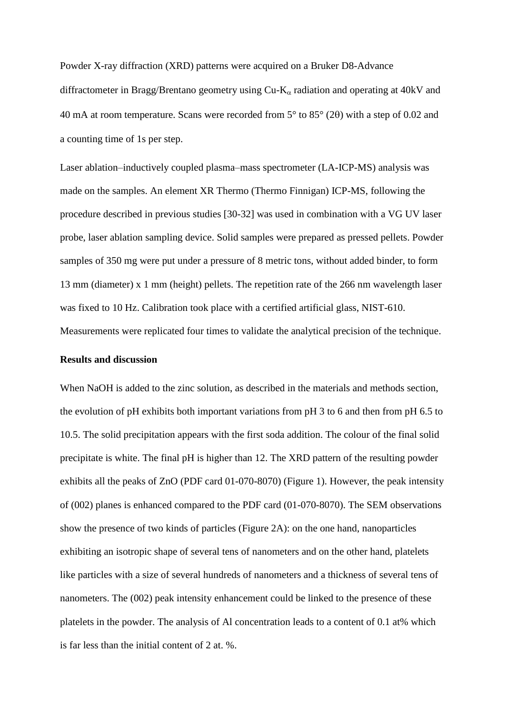Powder X-ray diffraction (XRD) patterns were acquired on a Bruker D8-Advance diffractometer in Bragg/Brentano geometry using  $Cu-K<sub>\alpha</sub>$  radiation and operating at 40kV and 40 mA at room temperature. Scans were recorded from  $5^{\circ}$  to  $85^{\circ}$  (20) with a step of 0.02 and a counting time of 1s per step.

Laser ablation–inductively coupled plasma–mass spectrometer (LA-ICP-MS) analysis was made on the samples. An element XR Thermo (Thermo Finnigan) ICP-MS, following the procedure described in previous studies [30-32] was used in combination with a VG UV laser probe, laser ablation sampling device. Solid samples were prepared as pressed pellets. Powder samples of 350 mg were put under a pressure of 8 metric tons, without added binder, to form 13 mm (diameter) x 1 mm (height) pellets. The repetition rate of the 266 nm wavelength laser was fixed to 10 Hz. Calibration took place with a certified artificial glass, NIST-610. Measurements were replicated four times to validate the analytical precision of the technique.

#### **Results and discussion**

When NaOH is added to the zinc solution, as described in the materials and methods section, the evolution of pH exhibits both important variations from pH 3 to 6 and then from pH 6.5 to 10.5. The solid precipitation appears with the first soda addition. The colour of the final solid precipitate is white. The final pH is higher than 12. The XRD pattern of the resulting powder exhibits all the peaks of ZnO (PDF card 01-070-8070) (Figure 1). However, the peak intensity of (002) planes is enhanced compared to the PDF card (01-070-8070). The SEM observations show the presence of two kinds of particles (Figure 2A): on the one hand, nanoparticles exhibiting an isotropic shape of several tens of nanometers and on the other hand, platelets like particles with a size of several hundreds of nanometers and a thickness of several tens of nanometers. The (002) peak intensity enhancement could be linked to the presence of these platelets in the powder. The analysis of Al concentration leads to a content of 0.1 at% which is far less than the initial content of 2 at. %.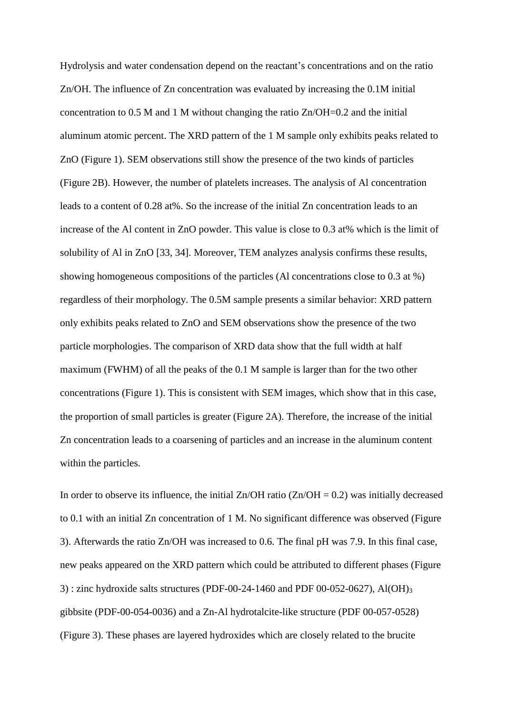Hydrolysis and water condensation depend on the reactant's concentrations and on the ratio Zn/OH. The influence of Zn concentration was evaluated by increasing the 0.1M initial concentration to 0.5 M and 1 M without changing the ratio Zn/OH=0.2 and the initial aluminum atomic percent. The XRD pattern of the 1 M sample only exhibits peaks related to ZnO (Figure 1). SEM observations still show the presence of the two kinds of particles (Figure 2B). However, the number of platelets increases. The analysis of Al concentration leads to a content of 0.28 at%. So the increase of the initial Zn concentration leads to an increase of the Al content in ZnO powder. This value is close to 0.3 at% which is the limit of solubility of Al in ZnO [33, 34]. Moreover, TEM analyzes analysis confirms these results, showing homogeneous compositions of the particles (Al concentrations close to 0.3 at %) regardless of their morphology. The 0.5M sample presents a similar behavior: XRD pattern only exhibits peaks related to ZnO and SEM observations show the presence of the two particle morphologies. The comparison of XRD data show that the full width at half maximum (FWHM) of all the peaks of the 0.1 M sample is larger than for the two other concentrations (Figure 1). This is consistent with SEM images, which show that in this case, the proportion of small particles is greater (Figure 2A). Therefore, the increase of the initial Zn concentration leads to a coarsening of particles and an increase in the aluminum content within the particles.

In order to observe its influence, the initial  $\text{Zn}/\text{OH}$  ratio ( $\text{Zn}/\text{OH} = 0.2$ ) was initially decreased to 0.1 with an initial Zn concentration of 1 M. No significant difference was observed (Figure 3). Afterwards the ratio Zn/OH was increased to 0.6. The final pH was 7.9. In this final case, new peaks appeared on the XRD pattern which could be attributed to different phases (Figure 3) : zinc hydroxide salts structures (PDF-00-24-1460 and PDF 00-052-0627), Al(OH)<sub>3</sub> gibbsite (PDF-00-054-0036) and a Zn-Al hydrotalcite-like structure (PDF 00-057-0528) (Figure 3). These phases are layered hydroxides which are closely related to the brucite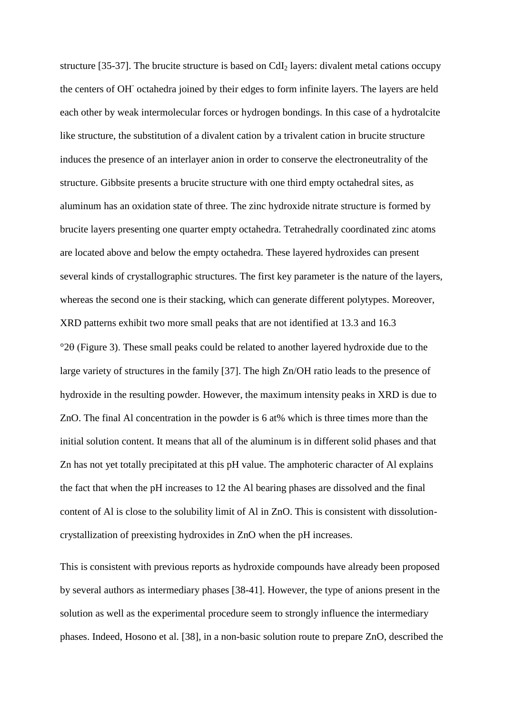structure [35-37]. The brucite structure is based on  $CdI<sub>2</sub>$  layers: divalent metal cations occupy the centers of OH<sup>-</sup> octahedra joined by their edges to form infinite layers. The layers are held each other by weak intermolecular forces or hydrogen bondings. In this case of a hydrotalcite like structure, the substitution of a divalent cation by a trivalent cation in brucite structure induces the presence of an interlayer anion in order to conserve the electroneutrality of the structure. Gibbsite presents a brucite structure with one third empty octahedral sites, as aluminum has an oxidation state of three. The zinc hydroxide nitrate structure is formed by brucite layers presenting one quarter empty octahedra. Tetrahedrally coordinated zinc atoms are located above and below the empty octahedra. These layered hydroxides can present several kinds of crystallographic structures. The first key parameter is the nature of the layers, whereas the second one is their stacking, which can generate different polytypes. Moreover, XRD patterns exhibit two more small peaks that are not identified at 13.3 and 16.3  $^{\circ}2\theta$  (Figure 3). These small peaks could be related to another layered hydroxide due to the large variety of structures in the family [37]. The high Zn/OH ratio leads to the presence of hydroxide in the resulting powder. However, the maximum intensity peaks in XRD is due to ZnO. The final Al concentration in the powder is 6 at% which is three times more than the initial solution content. It means that all of the aluminum is in different solid phases and that Zn has not yet totally precipitated at this pH value. The amphoteric character of Al explains the fact that when the pH increases to 12 the Al bearing phases are dissolved and the final content of Al is close to the solubility limit of Al in ZnO. This is consistent with dissolutioncrystallization of preexisting hydroxides in ZnO when the pH increases.

This is consistent with previous reports as hydroxide compounds have already been proposed by several authors as intermediary phases [38-41]. However, the type of anions present in the solution as well as the experimental procedure seem to strongly influence the intermediary phases. Indeed, Hosono et al. [38], in a non-basic solution route to prepare ZnO, described the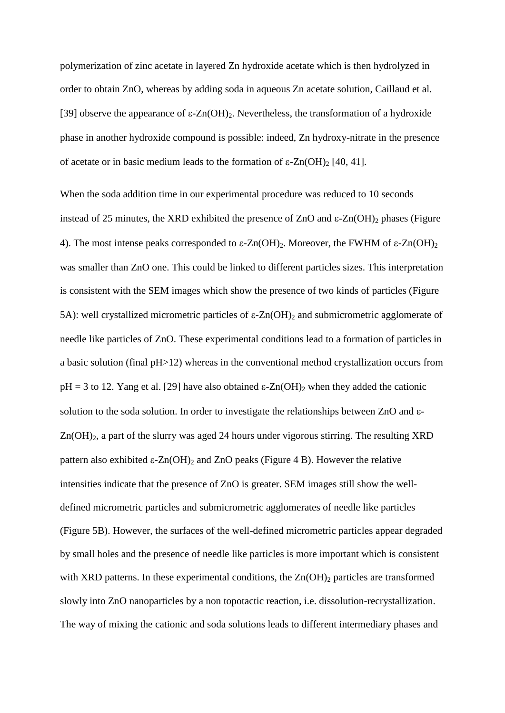polymerization of zinc acetate in layered Zn hydroxide acetate which is then hydrolyzed in order to obtain ZnO, whereas by adding soda in aqueous Zn acetate solution, Caillaud et al. [39] observe the appearance of  $\varepsilon$ -Zn(OH)<sub>2</sub>. Nevertheless, the transformation of a hydroxide phase in another hydroxide compound is possible: indeed, Zn hydroxy-nitrate in the presence of acetate or in basic medium leads to the formation of  $\varepsilon$ -Zn(OH)<sub>2</sub> [40, 41].

When the soda addition time in our experimental procedure was reduced to 10 seconds instead of 25 minutes, the XRD exhibited the presence of  $ZnO$  and  $\varepsilon$ - $Zn(OH)$ <sub>2</sub> phases (Figure 4). The most intense peaks corresponded to  $\varepsilon$ -Zn(OH)<sub>2</sub>. Moreover, the FWHM of  $\varepsilon$ -Zn(OH)<sub>2</sub> was smaller than ZnO one. This could be linked to different particles sizes. This interpretation is consistent with the SEM images which show the presence of two kinds of particles (Figure 5A): well crystallized micrometric particles of  $\varepsilon$ -Zn(OH)<sub>2</sub> and submicrometric agglomerate of needle like particles of ZnO. These experimental conditions lead to a formation of particles in a basic solution (final pH>12) whereas in the conventional method crystallization occurs from  $pH = 3$  to 12. Yang et al. [29] have also obtained  $\epsilon$ -Zn(OH)<sub>2</sub> when they added the cationic solution to the soda solution. In order to investigate the relationships between ZnO and  $\varepsilon$ -Zn(OH)<sub>2</sub>, a part of the slurry was aged 24 hours under vigorous stirring. The resulting XRD pattern also exhibited  $\epsilon$ -Zn(OH)<sub>2</sub> and ZnO peaks (Figure 4 B). However the relative intensities indicate that the presence of ZnO is greater. SEM images still show the welldefined micrometric particles and submicrometric agglomerates of needle like particles (Figure 5B). However, the surfaces of the well-defined micrometric particles appear degraded by small holes and the presence of needle like particles is more important which is consistent with XRD patterns. In these experimental conditions, the  $Zn(OH)_2$  particles are transformed slowly into ZnO nanoparticles by a non topotactic reaction, i.e. dissolution-recrystallization. The way of mixing the cationic and soda solutions leads to different intermediary phases and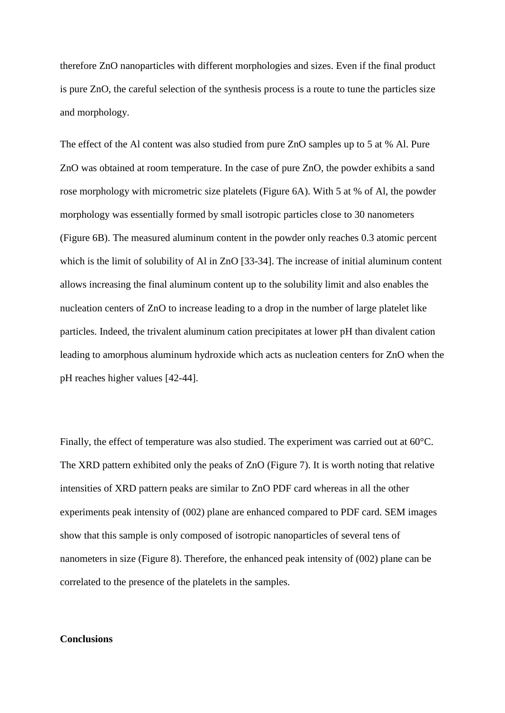therefore ZnO nanoparticles with different morphologies and sizes. Even if the final product is pure ZnO, the careful selection of the synthesis process is a route to tune the particles size and morphology.

The effect of the Al content was also studied from pure ZnO samples up to 5 at % Al. Pure ZnO was obtained at room temperature. In the case of pure ZnO, the powder exhibits a sand rose morphology with micrometric size platelets (Figure 6A). With 5 at % of Al, the powder morphology was essentially formed by small isotropic particles close to 30 nanometers (Figure 6B). The measured aluminum content in the powder only reaches 0.3 atomic percent which is the limit of solubility of Al in ZnO [33-34]. The increase of initial aluminum content allows increasing the final aluminum content up to the solubility limit and also enables the nucleation centers of ZnO to increase leading to a drop in the number of large platelet like particles. Indeed, the trivalent aluminum cation precipitates at lower pH than divalent cation leading to amorphous aluminum hydroxide which acts as nucleation centers for ZnO when the pH reaches higher values [42-44].

Finally, the effect of temperature was also studied. The experiment was carried out at 60°C. The XRD pattern exhibited only the peaks of ZnO (Figure 7). It is worth noting that relative intensities of XRD pattern peaks are similar to ZnO PDF card whereas in all the other experiments peak intensity of (002) plane are enhanced compared to PDF card. SEM images show that this sample is only composed of isotropic nanoparticles of several tens of nanometers in size (Figure 8). Therefore, the enhanced peak intensity of (002) plane can be correlated to the presence of the platelets in the samples.

#### **Conclusions**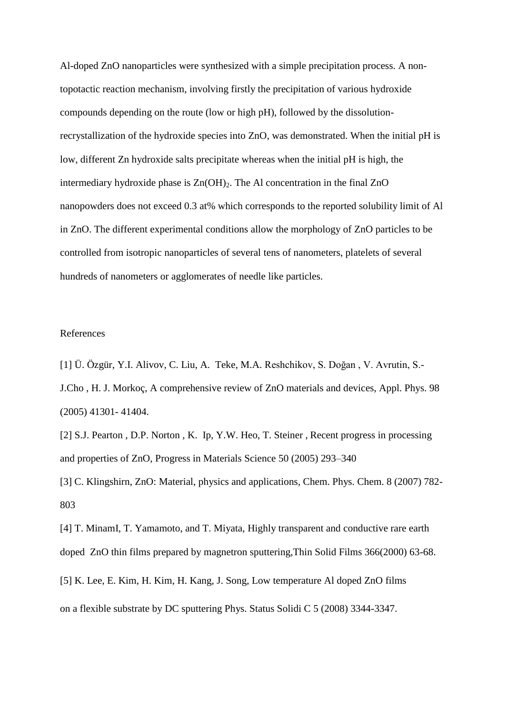Al-doped ZnO nanoparticles were synthesized with a simple precipitation process. A nontopotactic reaction mechanism, involving firstly the precipitation of various hydroxide compounds depending on the route (low or high pH), followed by the dissolutionrecrystallization of the hydroxide species into ZnO, was demonstrated. When the initial pH is low, different Zn hydroxide salts precipitate whereas when the initial pH is high, the intermediary hydroxide phase is  $Zn(OH)$ . The Al concentration in the final  $ZnO$ nanopowders does not exceed 0.3 at% which corresponds to the reported solubility limit of Al in ZnO. The different experimental conditions allow the morphology of ZnO particles to be controlled from isotropic nanoparticles of several tens of nanometers, platelets of several hundreds of nanometers or agglomerates of needle like particles.

#### References

[1] Ü. Özgür, Y.I. Alivov, C. Liu, A. Teke, M.A. Reshchikov, S. Doğan , V. Avrutin, S.- J.Cho , H. J. Morkoç, A comprehensive review of ZnO materials and devices, Appl. Phys. 98 (2005) 41301- 41404.

[2] S.J. Pearton , D.P. Norton , K. Ip, Y.W. Heo, T. Steiner , Recent progress in processing and properties of ZnO, Progress in Materials Science 50 (2005) 293–340

[3] C. Klingshirn, ZnO: Material, physics and applications, Chem. Phys. Chem. 8 (2007) 782- 803

[4] T. MinamI, T. Yamamoto, and T. Miyata, Highly transparent and conductive rare earth doped ZnO thin films prepared by magnetron sputtering,Thin Solid Films 366(2000) 63-68.

[5] K. Lee, E. Kim, H. Kim, H. Kang, J. Song, Low temperature Al doped ZnO films

on a flexible substrate by DC sputtering Phys. Status Solidi C 5 (2008) 3344-3347.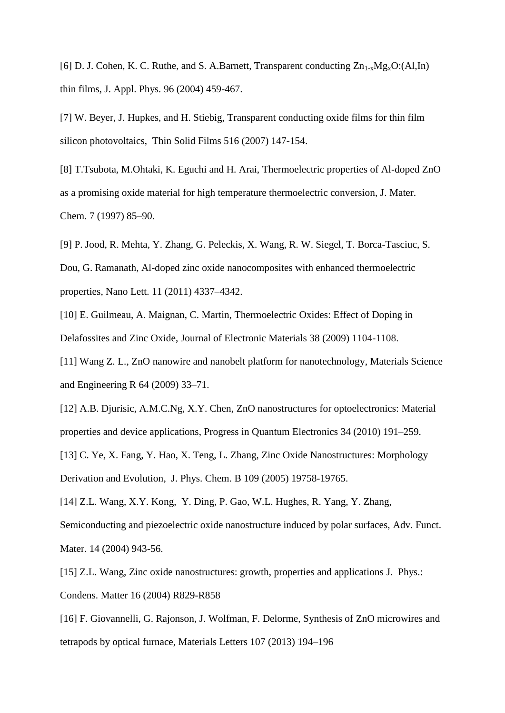[6] D. J. Cohen, K. C. Ruthe, and S. A.Barnett, Transparent conducting  $Zn_{1-x}Mg_xO(AI,In)$ thin films, J. Appl. Phys. 96 (2004) 459-467.

[7] W. Beyer, J. Hupkes, and H. Stiebig, Transparent conducting oxide films for thin film silicon photovoltaics, Thin Solid Films 516 (2007) 147-154.

[8] T.Tsubota, M.Ohtaki, K. Eguchi and H. Arai, Thermoelectric properties of Al-doped ZnO as a promising oxide material for high temperature thermoelectric conversion, J. Mater. Chem. 7 (1997) 85–90.

[9] P. Jood, R. Mehta, Y. Zhang, G. Peleckis, X. Wang, R. W. Siegel, T. Borca-Tasciuc, S. Dou, G. Ramanath, Al-doped zinc oxide nanocomposites with enhanced thermoelectric properties, Nano Lett. 11 (2011) 4337–4342.

[10] E. Guilmeau, A. Maignan, C. Martin, Thermoelectric Oxides: Effect of Doping in Delafossites and Zinc Oxide, Journal of Electronic Materials 38 (2009) 1104-1108.

[11] Wang Z. L., ZnO nanowire and nanobelt platform for nanotechnology, Materials Science and Engineering R 64 (2009) 33–71.

[12] A.B. Djurisic, A.M.C.Ng, X.Y. Chen, ZnO nanostructures for optoelectronics: Material properties and device applications, Progress in Quantum Electronics 34 (2010) 191–259.

[13] C. Ye, X. Fang, Y. Hao, X. Teng, L. Zhang, Zinc Oxide Nanostructures: Morphology Derivation and Evolution, J. Phys. Chem. B 109 (2005) 19758-19765.

[14] Z.L. Wang, X.Y. Kong, Y. Ding, P. Gao, W.L. Hughes, R. Yang, Y. Zhang, Semiconducting and piezoelectric oxide nanostructure induced by polar surfaces, Adv. Funct. Mater. 14 (2004) 943-56.

[15] Z.L. Wang, Zinc oxide nanostructures: growth, properties and applications J. Phys.: Condens. Matter 16 (2004) R829-R858

[16] F. Giovannelli, G. Rajonson, J. Wolfman, F. Delorme, Synthesis of ZnO microwires and tetrapods by optical furnace, Materials Letters 107 (2013) 194–196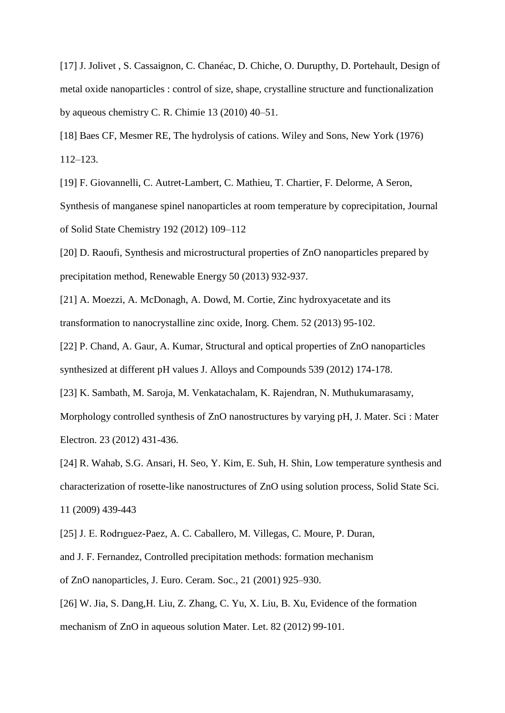[17] J. Jolivet, S. Cassaignon, C. Chanéac, D. Chiche, O. Durupthy, D. Portehault, Design of metal oxide nanoparticles : control of size, shape, crystalline structure and functionalization by aqueous chemistry C. R. Chimie 13 (2010) 40–51.

[18] Baes CF, Mesmer RE, The hydrolysis of cations. Wiley and Sons, New York (1976) 112–123.

[19] F. Giovannelli, C. Autret-Lambert, C. Mathieu, T. Chartier, F. Delorme, A Seron, Synthesis of manganese spinel nanoparticles at room temperature by coprecipitation, Journal of Solid State Chemistry 192 (2012) 109–112

[20] D. Raoufi, Synthesis and microstructural properties of ZnO nanoparticles prepared by precipitation method, Renewable Energy 50 (2013) 932-937.

[21] A. Moezzi, A. McDonagh, A. Dowd, M. Cortie, Zinc hydroxyacetate and its transformation to nanocrystalline zinc oxide, Inorg. Chem. 52 (2013) 95-102.

[22] P. Chand, A. Gaur, A. Kumar, Structural and optical properties of ZnO nanoparticles synthesized at different pH values J. Alloys and Compounds 539 (2012) 174-178.

[23] K. Sambath, M. Saroja, M. Venkatachalam, K. Rajendran, N. Muthukumarasamy, Morphology controlled synthesis of ZnO nanostructures by varying pH, J. Mater. Sci : Mater Electron. 23 (2012) 431-436.

[24] R. Wahab, S.G. Ansari, H. Seo, Y. Kim, E. Suh, H. Shin, Low temperature synthesis and characterization of rosette-like nanostructures of ZnO using solution process, Solid State Sci. 11 (2009) 439-443

[25] J. E. Rodrıguez-Paez, A. C. Caballero, M. Villegas, C. Moure, P. Duran, and J. F. Fernandez, Controlled precipitation methods: formation mechanism of ZnO nanoparticles, J. Euro. Ceram. Soc., 21 (2001) 925–930.

[26] W. Jia, S. Dang,H. Liu, Z. Zhang, C. Yu, X. Liu, B. Xu, Evidence of the formation mechanism of ZnO in aqueous solution Mater. Let. 82 (2012) 99-101.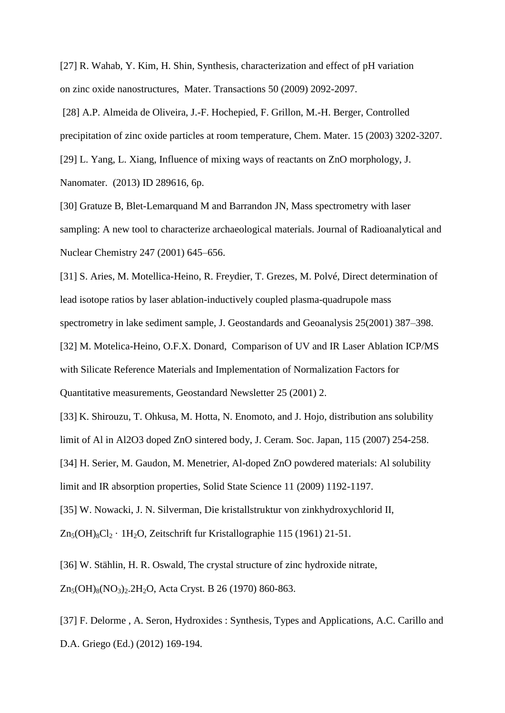[27] R. Wahab, Y. Kim, H. Shin, Synthesis, characterization and effect of pH variation on zinc oxide nanostructures, Mater. Transactions 50 (2009) 2092-2097.

 [28] A.P. Almeida de Oliveira, J.-F. Hochepied, F. Grillon, M.-H. Berger, Controlled precipitation of zinc oxide particles at room temperature, Chem. Mater. 15 (2003) 3202-3207.

[29] L. Yang, L. Xiang, Influence of mixing ways of reactants on ZnO morphology, J. Nanomater. (2013) ID 289616, 6p.

[30] Gratuze B, Blet-Lemarquand M and Barrandon JN, Mass spectrometry with laser sampling: A new tool to characterize archaeological materials. Journal of Radioanalytical and Nuclear Chemistry 247 (2001) 645–656.

[31] S. Aries, M. Motellica-Heino, R. Freydier, T. Grezes, M. Polvé, Direct determination of lead isotope ratios by laser ablation-inductively coupled plasma-quadrupole mass spectrometry in lake sediment sample, J. Geostandards and Geoanalysis 25(2001) 387–398.

[32] M. Motelica-Heino, O.F.X. Donard, Comparison of UV and IR Laser Ablation ICP/MS with Silicate Reference Materials and Implementation of Normalization Factors for Quantitative measurements, Geostandard Newsletter 25 (2001) 2.

[33] K. Shirouzu, T. Ohkusa, M. Hotta, N. Enomoto, and J. Hojo, distribution ans solubility limit of Al in Al2O3 doped ZnO sintered body, J. Ceram. Soc. Japan, 115 (2007) 254-258.

[34] H. Serier, M. Gaudon, M. Menetrier, Al-doped ZnO powdered materials: Al solubility limit and IR absorption properties, Solid State Science 11 (2009) 1192-1197.

[35] W. Nowacki, J. N. Silverman, Die kristallstruktur von zinkhydroxychlorid II,

 $Zn_5(OH)_8Cl_2 \cdot 1H_2O$ , Zeitschrift fur Kristallographie 115 (1961) 21-51.

[36] W. Stählin, H. R. Oswald, The crystal structure of zinc hydroxide nitrate,

 $Zn_5(OH)_8(NO_3)$ , 2H<sub>2</sub>O, Acta Cryst. B 26 (1970) 860-863.

[37] F. Delorme , A. Seron, Hydroxides : Synthesis, Types and Applications, A.C. Carillo and D.A. Griego (Ed.) (2012) 169-194.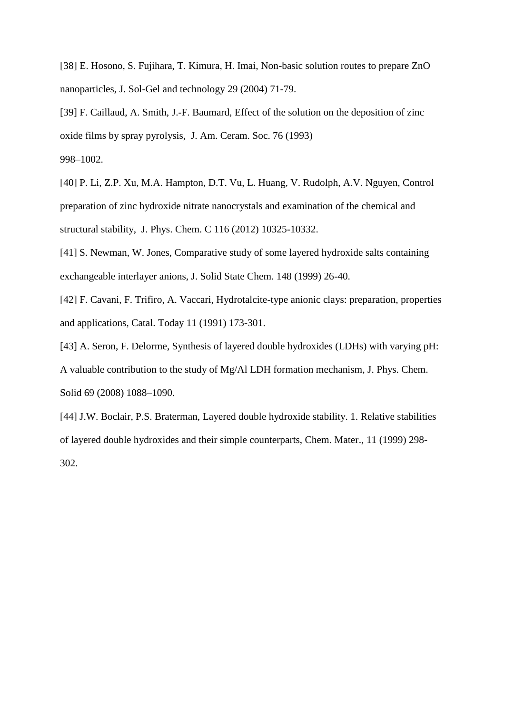[38] E. Hosono, S. Fujihara, T. Kimura, H. Imai, Non-basic solution routes to prepare ZnO nanoparticles, J. Sol-Gel and technology 29 (2004) 71-79.

[39] F. Caillaud, A. Smith, J.-F. Baumard, Effect of the solution on the deposition of zinc oxide films by spray pyrolysis, J. Am. Ceram. Soc. 76 (1993)

998–1002.

[40] P. Li, Z.P. Xu, M.A. Hampton, D.T. Vu, L. Huang, V. Rudolph, A.V. Nguyen, Control preparation of zinc hydroxide nitrate nanocrystals and examination of the chemical and structural stability, J. Phys. Chem. C 116 (2012) 10325-10332.

[41] S. Newman, W. Jones, Comparative study of some layered hydroxide salts containing exchangeable interlayer anions, J. Solid State Chem. 148 (1999) 26-40.

[42] F. Cavani, F. Trifiro, A. Vaccari, Hydrotalcite-type anionic clays: preparation, properties and applications, Catal. Today 11 (1991) 173-301.

[43] A. Seron, F. Delorme, Synthesis of layered double hydroxides (LDHs) with varying pH: A valuable contribution to the study of Mg/Al LDH formation mechanism, J. Phys. Chem. Solid 69 (2008) 1088–1090.

[44] J.W. Boclair, P.S. Braterman, Layered double hydroxide stability. 1. Relative stabilities of layered double hydroxides and their simple counterparts, Chem. Mater., 11 (1999) 298- 302.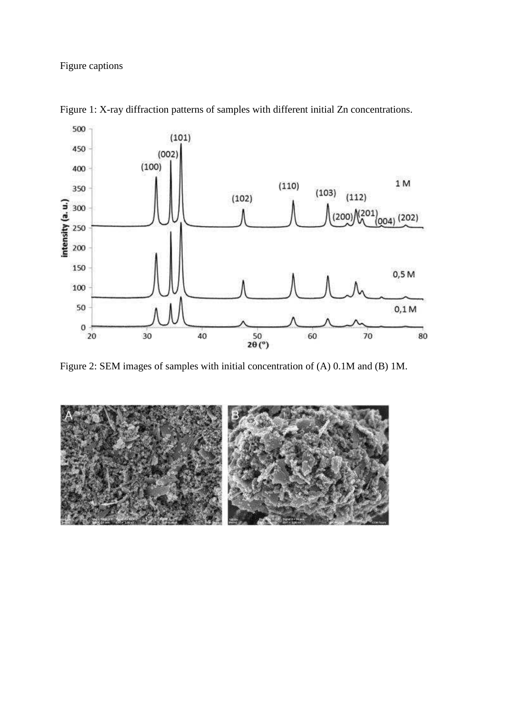Figure captions



Figure 1: X-ray diffraction patterns of samples with different initial Zn concentrations.

Figure 2: SEM images of samples with initial concentration of (A) 0.1M and (B) 1M.

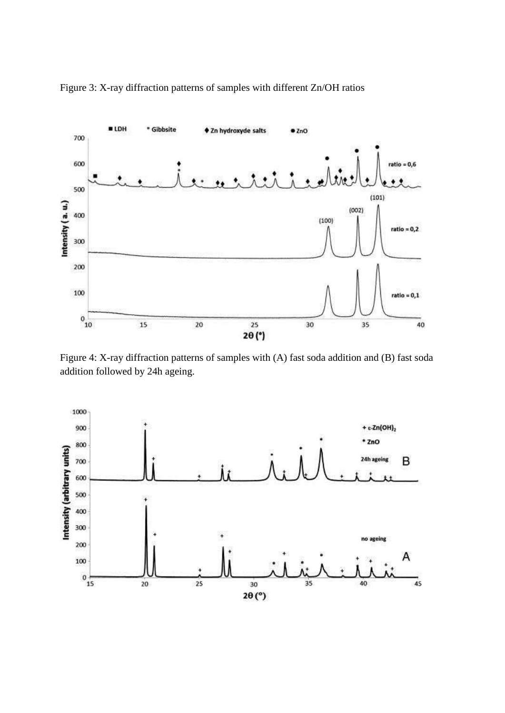

Figure 3: X-ray diffraction patterns of samples with different Zn/OH ratios

Figure 4: X-ray diffraction patterns of samples with (A) fast soda addition and (B) fast soda addition followed by 24h ageing.

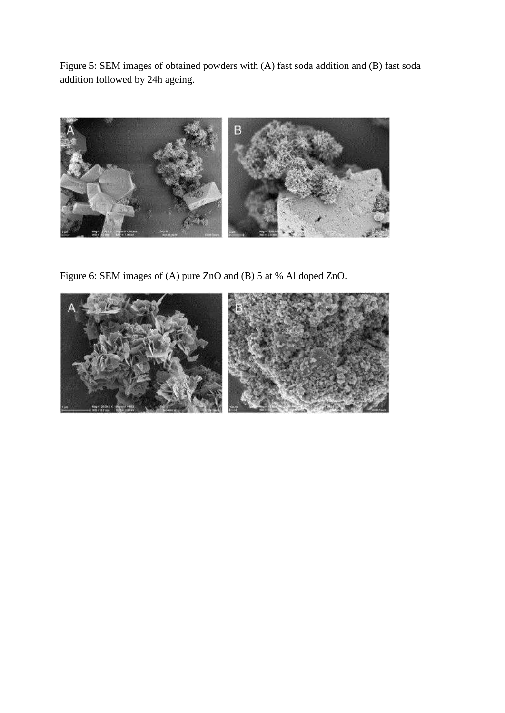Figure 5: SEM images of obtained powders with (A) fast soda addition and (B) fast soda addition followed by 24h ageing.



Figure 6: SEM images of (A) pure ZnO and (B) 5 at % Al doped ZnO.